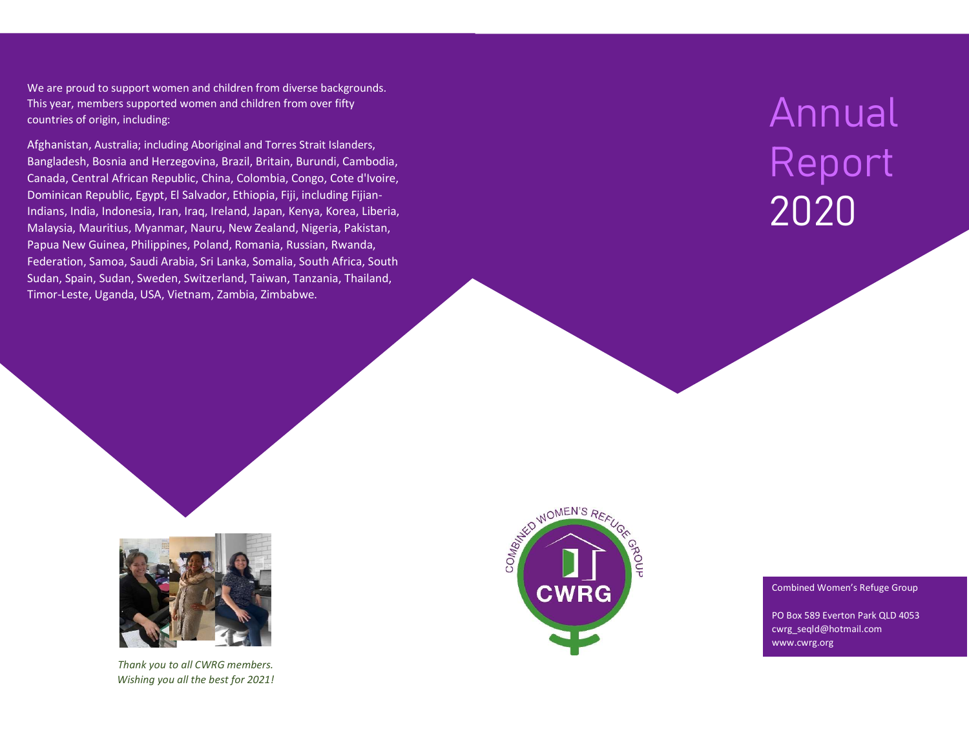We are proud to support women and children from diverse backgrounds. This year, members supported women and children from over fifty countries of origin, including:

Afghanistan, Australia; including Aboriginal and Torres Strait Islanders, Bangladesh, Bosnia and Herzegovina, Brazil, Britain, Burundi, Cambodia, Canada, Central African Republic, China, Colombia, Congo, Cote d'Ivoire, Dominican Republic, Egypt, El Salvador, Ethiopia, Fiji, including Fijian-Indians, India, Indonesia, Iran, Iraq, Ireland, Japan, Kenya, Korea, Liberia, Malaysia, Mauritius, Myanmar, Nauru, New Zealand, Nigeria, Pakistan, Papua New Guinea, Philippines, Poland, Romania, Russian, Rwanda, Federation, Samoa, Saudi Arabia, Sri Lanka, Somalia, South Africa, South Sudan, Spain, Sudan, Sweden, Switzerland, Taiwan, Tanzania, Thailand, Timor-Leste, Uganda, USA, Vietnam, Zambia, Zimbabwe.

# Annual Report 2020



Thank you to all CWRG members. Wishing you all the best for 2021!



#### Combined Women's Refuge Group

PO Box 589 Everton Park QLD 4053 cwrg\_seqld@hotmail.com www.cwrg.org